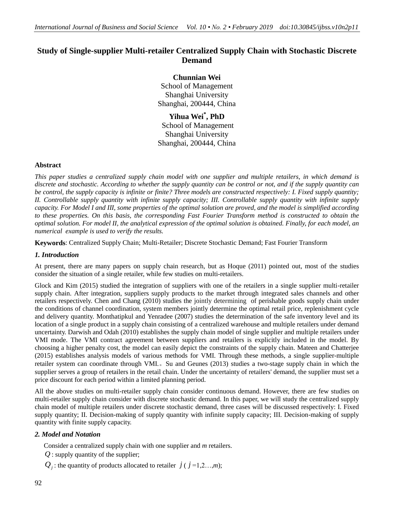# **Study of Single-supplier Multi-retailer Centralized Supply Chain with Stochastic Discrete Demand**

## **Chunnian Wei**

School of Management Shanghai University Shanghai, 200444, China

**Yihua Wei\* , PhD** School of Management Shanghai University Shanghai, 200444, China

## **Abstract**

*This paper studies a centralized supply chain model with one supplier and multiple retailers, in which demand is discrete and stochastic. According to whether the supply quantity can be control or not, and if the supply quantity can be control, the supply capacity is infinite or finite? Three models are constructed respectively: I. Fixed supply quantity; II. Controllable supply quantity with infinite supply capacity; III. Controllable supply quantity with infinite supply capacity. For Model I and III, some properties of the optimal solution are proved, and the model is simplified according to these properties. On this basis, the corresponding Fast Fourier Transform method is constructed to obtain the optimal solution. For model II, the analytical expression of the optimal solution is obtained. Finally, for each model, an numerical example is used to verify the results.*

**Keywords**: Centralized Supply Chain; Multi-Retailer; Discrete Stochastic Demand; Fast Fourier Transform

## *1. Introduction*

At present, there are many papers on supply chain research, but as Hoque (2011) pointed out, most of the studies consider the situation of a single retailer, while few studies on multi-retailers.

Glock and Kim (2015) studied the integration of suppliers with one of the retailers in a single supplier multi-retailer supply chain. After integration, suppliers supply products to the market through integrated sales channels and other retailers respectively. Chen and Chang (2010) studies the jointly determining of perishable goods supply chain under the conditions of channel coordination, system members jointly determine the optimal retail price, replenishment cycle and delivery quantity. Monthatipkul and Yenradee (2007) studies the determination of the safe inventory level and its location of a single product in a supply chain consisting of a centralized warehouse and multiple retailers under demand uncertainty. Darwish and Odah (2010) establishes the supply chain model of single supplier and multiple retailers under VMI mode. The VMI contract agreement between suppliers and retailers is explicitly included in the model. By choosing a higher penalty cost, the model can easily depict the constraints of the supply chain. Mateen and Chatterjee (2015) establishes analysis models of various methods for VMI. Through these methods, a single supplier-multiple retailer system can coordinate through VMI.。Su and Geunes (2013) studies a two-stage supply chain in which the supplier serves a group of retailers in the retail chain. Under the uncertainty of retailers' demand, the supplier must set a price discount for each period within a limited planning period.

All the above studies on multi-retailer supply chain consider continuous demand. However, there are few studies on multi-retailer supply chain consider with discrete stochastic demand. In this paper, we will study the centralized supply chain model of multiple retailers under discrete stochastic demand, three cases will be discussed respectively: I. Fixed supply quantity; II. Decision-making of supply quantity with infinite supply capacity; III. Decision-making of supply quantity with finite supply capacity.

## *2. Model and Notation*

Consider a centralized supply chain with one supplier and *m* retailers.

- *Q* : supply quantity of the supplier;
- $Q_j$ : the quantity of products allocated to retailer  $j$  ( $j$  =1,2…,*m*);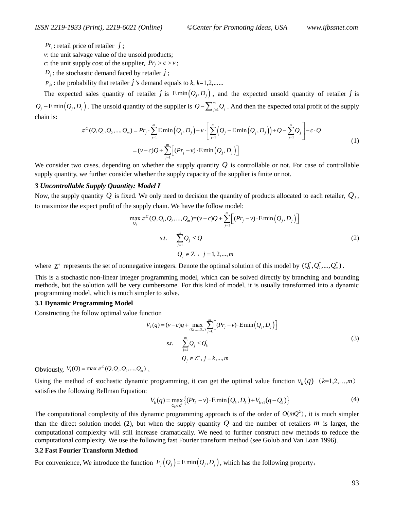: retail price of retailer *j* ;

*v*: the unit salvage value of the unsold products;

*c*: the unit supply cost of the supplier,  $Pr_j > c > v$ ;

 $D_j$ : the stochastic demand faced by retailer *j*;

 $p_{jk}$ : the probability that retailer  $j$  's demand equals to  $k, k=1,2,......$ 

The expected sales quantity of retailer  $j$  is  $\text{Emin}(Q_j, D_j)$ , and the expected unsold quantity of retailer  $j$  is  $Q_j$  – Emin $\left(Q_j, D_j\right)$ . The unsold quantity of the supplier is  $Q$  –  $\sum_{j=1}^m$ *m* The unsold quantity of the supplier is  $Q - \sum_{j=1}^{m} Q_j$ . And then the expected total profit of the supply  $(Q, Q_1, Q_2, ..., Q_m) = Pr_j \cdot \sum_{j=1}^{m} E \min(Q_j, D_j) + v \cdot \left[ \sum_{j=1}^{m} (Q_j - E \min(Q_j, D_j)) + Q - \sum_{j=1}^{m} Q_j \right] - c \cdot Q$ chain is: the supplier is  $\mathcal{L}_{j=1} \mathcal{L}_j$ . And then the expected<br> $\sum_{j=1}^m E_{\text{min}}(Q, R) + \sum_{j=1}^m (Q - E_{\text{min}}(Q, R)) + Q \sum_{j=1}^m E_{\text{min}}(Q, R)$ The unsold quantity of the supplier is  $Q - \sum_{j=1}^{m} Q_j$ . And then the expected total profit  $Q, Q_1, Q_2, ..., Q_m$  =  $Pr_j \cdot \sum_{j=1}^{m} E \min(Q_j, D_j) + v \cdot \left[ \sum_{j=1}^{m} (Q_j - E \min(Q_j, D_j)) + Q - \sum_{j=1}^{m} Q_j \right] - c \cdot Q$ retailer *j* is Emin $(Q_j, D_j)$ , and the expected unsold quantity of retailer *j* and the expected unsold quantity of retailer *j* and the supplier is  $Q - \sum_{j=1}^m Q_j$ . And then the expected total profit of the supplier  $P = Pr_j$ 

$$
P_7
$$
: metal price of retailer  $j$ :  
\n $r$ : the unit subply cost of the supplier,  $P_7 > c > v$ ;  
\n $p$ ; its stochastic demand decay is called  $j$  of  $k$ . $i = 1, 2, ...,$   
\n $p$ ; its stochastic demand decay is called by creating  $i$  of  $k$ . $i = 1, 2, ...,$   
\n $p$ . $z$ : the probability that realize  $j$  is demand equals to  $k$ ,  $k = 1, 2, ...,$   
\n $p$ . $z$ : the probability that realize  $j$  is  $l$  initial (Q, D<sub>i</sub>), and the expected unsold quantity of retailer  $j$  is  
\n $r$ : (Q, Q, Q, ..., Q<sub>n</sub>) =  $P_7 \cdot \sum_{j=1}^{n} \text{Emin}(Q_j, D_j) + v \cdot \left[ \sum_{j=1}^{n} (Q_j - \text{Emin}(Q_j, D_j)) + Q - \sum_{j=1}^{n} Q_j \right] - c \cdot Q$   
\n $= (v - i)Q + \sum_{j=1}^{n} [(P_{7j} - v) \cdot \text{Fmin}(Q_j, D_j)]$   
\nconsider two cases, depending on whether the supply quantity  $Q$  is controlled  
\n $u$ : (Q, Q<sub>1</sub>, Q<sub>2</sub>, ..., Q<sub>n</sub>) = (v - i)Q +  $\sum_{j=1}^{n} [(P_{7j} - v) \cdot \text{Fmin}(Q_j, D_j)]$   
\nconsider two cases, depending on whether the supply capacity of the supplier is finite or not.  
\n $u$ : (P<sub>1</sub> supply quantity).  $Q$  is fixed. We only need to decision the quantity of products allocated to each retailer.  $Q_j$ ,  
\n $u$ , the supply quantity.  $Q$  is fixed. We only need to decision the quantity of products allocated to each retailer.  $Q_j$ ,  
\n $u$ :  $\sum_{i=1}^{n} Q_i < Q$   
\n $Q_i < Z$ ,  $j$  = 1, 2, ..., m  
\n $z$ :  $\sum_{i=1}^{n} Q_i < Q$   
\n $Q_i < Z$ ,  $j$  = 1, 2, ..., m  
\n

We consider two cases, depending on whether the supply quantity Q is controllable or not. For case of controllable supply quantity, we further consider whether the supply capacity of the supplier is finite or not.

#### *3 Uncontrollable Supply Quantity: Model I*

Now, the supply quantity  $Q$  is fixed. We only need to decision the quantity of products allocated to each retailer,  $Q_j$ ,

to maximize the expect profit of the supply chain. We have the follow model:  
\n
$$
\max_{Q_j} \pi^C(Q, Q_1, Q_2, ..., Q_m) = (v - c)Q + \sum_{j=1}^m \Big[ (Pr_j - v) \cdot \text{E} \min(Q_j, D_j) \Big]
$$
\n*s.t.* 
$$
\sum_{j=1}^m Q_j \leq Q
$$
\n
$$
Q_j \in \mathbb{Z}^+, j = 1, 2, ..., m
$$
\n(2)

where  $Z^+$  represents the set of nonnegative integers. Denote the optimal solution of this model by  $(Q_1^*, Q_2^*,...,Q_m^*)$ .

This is a stochastic non-linear integer programming model, which can be solved directly by branching and bounding methods, but the solution will be very cumbersome. For this kind of model, it is usually transformed into a dynamic programming model, which is much simpler to solve.

### **3.1 Dynamic Programming Model**

Constructing the follow optimal value function

action

\n
$$
V_{k}(q) = (v-c)q + \max_{(Q_{k},...,Q_{m})} \sum_{j=k}^{m} \Big[ (Pr_{j} - v) \cdot \text{E} \min (Q_{j}, D_{j}) \Big] \\
\text{s.t.} \quad \sum_{j=k}^{m} Q_{j} \leq Q_{k} \\
Q_{j} \in \mathbb{Z}^{+}, j = k,...,m
$$
\n
$$
(3)
$$

Obviously,  $V_1(Q) = \max \pi^C(Q, Q_1, Q_2, ..., Q_m)$ .

Using the method of stochastic dynamic programming, it can get the optimal value function  $v_k(q)$   $(k=1,2,...,m)$ <br>satisfies the following Bellman Equation:<br> $V_k(q) = \max_{Q_k \in \mathcal{I}^*} \{(Pr_k - v) \cdot \text{E} \min(Q_k, D_k) + V_{k+1}(q - Q_k)\}$  (4) satisfies the following Bellman Equation:

$$
V_k(q) = \max_{Q_k \in \mathbb{Z}^+} \{ (Pr_k - v) \cdot \text{E} \min(Q_k, D_k) + V_{k+1}(q - Q_k) \}
$$
(4)

The computational complexity of this dynamic programming approach is of the order of  $O(mQ^2)$ , it is much simpler than the direct solution model (2), but when the supply quantity  $Q$  and the number of retailers  $m$  is larger, the computational complexity will still increase dramatically. We need to further construct new methods to reduce the computational complexity. We use the following fast Fourier transform method (see Golub and Van Loan 1996).

#### **3.2 Fast Fourier Transform Method**

For convenience, We introduce the function  $F_j(Q_j) = \text{Emin}(Q_j, D_j)$ , which has the following property: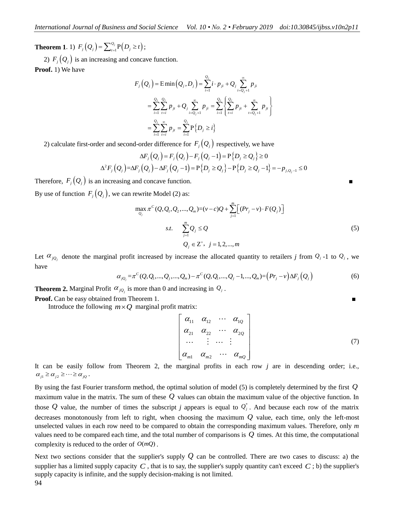**Theorem 1.** 1)  $F_j(Q_j) = \sum_{t=1}^{Q_j} P(D_j \ge t)$ ;

2)  $F_j(Q_j)$  is an increasing and concave function.

**Proof.** 1) We have

$$
F_j(Q_j) = \text{E min}(Q_j, D_j) = \sum_{i=1}^{Q_j} i \cdot p_{ji} + Q_j \sum_{i=Q_j+1}^{\infty} p_{ji}
$$
  
= 
$$
\sum_{i=1}^{Q_j} \sum_{t=i}^{Q_j} p_{jt} + Q_j \sum_{i=Q_j+1}^{\infty} p_{ji} = \sum_{i=1}^{Q_j} \left\{ \sum_{t=i}^{Q_j} p_{jt} + \sum_{t=Q_j+1}^{\infty} p_{jt} \right\}
$$
  
= 
$$
\sum_{i=1}^{Q_j} \sum_{t=i}^{\infty} p_{jt} = \sum_{i=1}^{Q_j} P\{D_j \ge i\}
$$

2) calculate first-order and second-order difference for 
$$
F_j(Q_j)
$$
 respectively, we have  
\n
$$
\Delta F_j(Q_j) = F_j(Q_j) - F_j(Q_j - 1) = P\{D_j \ge Q_j\} \ge 0
$$
\n
$$
\Delta^2 F_j(Q_j) = \Delta F_j(Q_j) - \Delta F_j(Q_j - 1) = P\{D_j \ge Q_j\} - P\{D_j \ge Q_j - 1\} = -p_{j, Q_j - 1} \le 0
$$

Therefore,  $F_j(Q_j)$  is an increasing and concave function. By use of function  $F_j(Q_j)$ , we can rewrite Model (2) as:

ewrite Model (2) as:

\n
$$
\max_{Q_j} \pi^C(Q, Q_1, Q_2, \ldots, Q_m) = (v - c)Q + \sum_{j=1}^{m} \Big[ (Pr_j - v) \cdot F(Q_j) \Big]
$$
\n
$$
s.t. \quad \sum_{j=1}^{m} Q_j \le Q
$$
\n
$$
Q_j \in \mathbb{Z}^+, \ j = 1, 2, \ldots, m
$$
\n(5)

Let  $\alpha_{jQ_j}$  denote the marginal profit increased by increase the allocated quantity to retailers *j* from  $Q_j$ -1 to  $Q_j$ , we have<br>have  $\alpha_{jQ_j} = \pi^C(Q, Q_1, ..., Q_j, ..., Q_m) - \pi^C(Q, Q_1, ..., Q_j) - 1, ..., Q_m) = (Pr_j - v) \Delta F_j(Q_j)$  (6) have

$$
\alpha_{jQ_j} = \pi^C(Q, Q_1, ..., Q_j, ..., Q_m) - \pi^C(Q, Q_1, ..., Q_j - 1, ..., Q_m) = (Pr_j - v) \Delta F_j(Q_j)
$$
\n(6)

**Theorem 2.** Marginal Profit  $\alpha_{jQ_j}$  is more than 0 and increasing in  $Q_j$ .

**Proof.** Can be easy obtained from Theorem 1. ■

Introduce the following  $m \times Q$  marginal profit matrix:

$$
\begin{bmatrix}\n\alpha_{11} & \alpha_{12} & \cdots & \alpha_{1Q} \\
\alpha_{21} & \alpha_{22} & \cdots & \alpha_{2Q} \\
\vdots & \vdots & \ddots & \vdots \\
\alpha_{m1} & \alpha_{m2} & \cdots & \alpha_{mQ}\n\end{bmatrix}
$$
\n(7)

It can be easily follow from Theorem 2, the marginal profits in each row *j* are in descending order; i.e.,  $\alpha_{j1} \geq \alpha_{j2} \geq \cdots \geq \alpha_{jQ}$ .

By using the fast Fourier transform method, the optimal solution of model (5) is completely determined by the first *Q* maximum value in the matrix. The sum of these *Q* values can obtain the maximum value of the objective function. In those Q value, the number of times the subscript *j* appears is equal to  $Q_j^*$ . And because each row of the matrix decreases monotonously from left to right, when choosing the maximum *Q* value, each time, only the left-most unselected values in each row need to be compared to obtain the corresponding maximum values. Therefore, only *m*  values need to be compared each time, and the total number of comparisons is  $Q$  times. At this time, the computational complexity is reduced to the order of  $O(mQ)$ .

Next two sections consider that the supplier's supply  $Q$  can be controlled. There are two cases to discuss: a) the supplier has a limited supply capacity  $C$ , that is to say, the supplier's supply quantity can't exceed  $C$ ; b) the supplier's supply capacity is infinite, and the supply decision-making is not limited.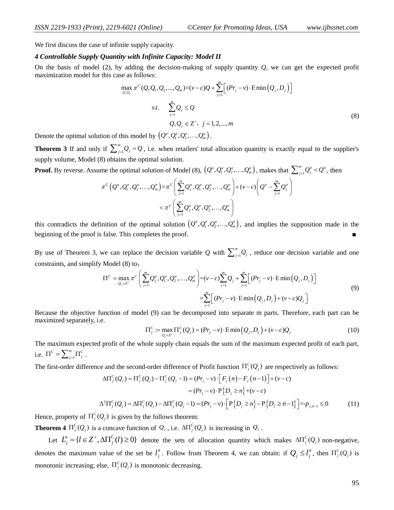We first discuss the case of infinite supply capacity.

### *4 Controllable Supply Quantity with Infinite Capacity: Model II*

On the basis of model (2), by adding the decision-making of supply quantity *Q*, we can get the expected profit maximization model for this case as follows:

$$
\max_{Q,Q_j} \pi^C(Q,Q_1,Q_2,...,Q_m) = (v-c)Q + \sum_{j=1}^m \Big[ (Pr_j - v) \cdot \text{Emin}(Q_j, D_j) \Big]
$$
\n
$$
s.t. \quad \sum_{j=1}^m Q_j \le Q
$$
\n
$$
Q, Q_j \in \mathbb{Z}^+, \ j = 1, 2, ..., m
$$
\n(8)

Denote the optimal solution of this model by  $(Q^a, Q^a_1, Q^a_2, \ldots, Q^a_m)$ .

**Theorem 3** If and only if  $\sum_{j=1}^{m}$ *m*  $\sum_{j=1}^{m} Q_j = Q$ , i.e. when retailers' total allocation quantity is exactly equal to the supplier's supply volume, Model (8) obtains the optimal solution.

**Proof.** By reverse. Assume the optimal solution of Model (8),  $\left(Q^a, Q^a_1, Q^a_2, \ldots, Q^a_m\right)$ , makes that  $\sum_{j=1}^m$ 

8) obtains the optimal solution.  
\nme the optimal solution of Model (8), 
$$
(Q^a, Q^a_1, Q^a_2, ..., Q^a_m)
$$
, makes that  $\sum_{j=1}^m Q^a_j < Q^a$ , then  
\n
$$
\pi^C(Q^a, Q^a_1, Q^a_2, ..., Q^a_m) = \pi^C\left(\sum_{j=1}^m Q^a_j, Q^a_1, Q^a_2, ..., Q^a_m\right) + (v-c)\left(Q^a - \sum_{j=1}^m Q^a_j\right)
$$
\n
$$
< \pi^C\left(\sum_{j=1}^m Q^a_j, Q^a_1, Q^a_2, ..., Q^a_m\right)
$$

this contradicts the definition of the optimal solution  $(Q^a, Q^a_1, Q^a_2, \ldots, Q^a_m)$ , and implies the supposition made in the beginning of the proof is false. This completes the proof.

By use of Theorem 3, we can replace the decision variable Q with  $\sum_{j=1}^{m}$ *m ve* can replace the decision variable Q with  $\sum_{j=1}^{m} Q_j$ , reduce one decision variable and one<br>
Model (8) to:<br>  $\Pi^c = \max_{Q_i \in \mathbb{Z}^*} \pi^c \left( \sum_{i=1}^{m} Q_i^a, Q_i^a, Q_2^a, ..., Q_m^a \right) = (v-c) \sum_{i=1}^{m} Q_i + \sum_{i=1}^{m} \left[ (Pr_j - v) \cdot \text{E$ constraints, and simplify Model (8) to:<br> $\Pi^c = \max \pi^c$  $\sum_{m=0}^{m}$   $\sum_{m=0}^{m}$ 

we can replace the decision variable *Q* with 
$$
\sum_{j=1}^{m} Q_j
$$
, reduce one decision variable and one  
\nModel (8) to:  
\n
$$
\Pi^C = \max_{Q_j \in \mathbb{Z}^*} \pi^C \left( \sum_{j=1}^{m} Q_j^a, Q_1^a, Q_2^a, \dots, Q_m^a \right) = (v - c) \sum_{j=1}^{m} Q_j + \sum_{j=1}^{m} \left[ (Pr_j - v) \cdot \text{E} \min (Q_j, D_j) \right]
$$
\n
$$
= \sum_{j=1}^{m} \left[ (Pr_j - v) \cdot \text{E} \min (Q_j, D_j) + (v - c) Q_j \right]
$$
\n(9)

Because the objective function of model (9) can be decomposed into separate m parts. Therefore, each part can be maximized separately, i.e.

$$
\Pi_j^c := \max_{Q_j \in \mathbb{Z}^+} \Pi_j^c(Q_j) = (Pr_j - v) \cdot \text{E} \min(Q_j, D_j) + (v - c)Q_j \tag{10}
$$

The maximum expected profit of the whole supply chain equals the sum of the maximum expected profit of each part, i.e.  $\Pi^{c} = \sum_{j=1}^{m}$  $\Pi^C = \sum_{j=1}^m \Pi_j^C$ .

The first-order difference and the second-order difference of Profit function  $\Pi_j^C(Q_j)$  are respectively as follows:

$$
P = \text{and the second-order difference of Profit function } \Pi_j^C(Q_j) \text{ are respectively as follows:}
$$
\n
$$
\Delta \Pi_j^C(Q_j) = \Pi_j^C(Q_j) - \Pi_j^C(Q_j - 1) = (Pr_j - v) \cdot \left[ F_j(n) - F_j(n-1) \right] + (v - c)
$$
\n
$$
= (Pr_j - v) \cdot P\left\{ D_j \ge n \right\} + (v - c)
$$
\n
$$
\Delta^2 \Pi_j^C(Q_j) = \Delta \Pi_j^C(Q_j) - \Delta \Pi_j^C(Q_j - 1) = (Pr_j - v) \cdot \left[ P\left\{ D_j \ge n \right\} - P\left\{ D_j \ge n-1 \right\} \right] = -p_{j,n-1} \le 0 \tag{11}
$$

Hence, property of  $\Pi_j^C(Q_j)$  is given by the follows theorem:

**Theorem 4**  $\Pi_j^C(Q_j)$  is a concave function of  $Q_j$ , i.e.  $\Delta \Pi_j^C(Q_j)$  is increasing in  $Q_j$ .

Let  $L_j^a = \{l \in \mathbb{Z}^+, \Delta \Pi_j^C(l) \ge 0\}$  denote the sets of allocation quantity which makes  $\Delta \Pi_j^C(Q_j)$  non-negative, denotes the maximum value of the set be  $l_i^a$  $l_j^a$ . Follow from Theorem 4, we can obtain: if  $Q_j \le l_j^a$ , then  $\Pi_j^c(Q_j)$  is monotonic increasing; else,  $\Pi_j^C(Q_j)$  is monotonic decreasing.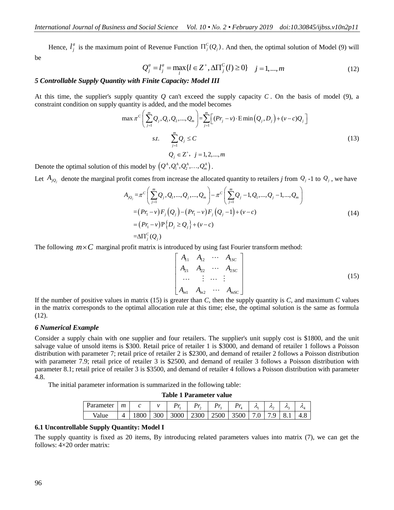Hence,  $l_i^a$  $l_j^a$  is the maximum point of Revenue Function  $\Pi_j^c(Q_j)$ . And then, the optimal solution of Model (9) will be

$$
Q_j^a = l_j^a = \max_l \{ l \in Z^+, \Delta \Pi_j^C(l) \ge 0 \} \quad j = 1, ..., m
$$
 (12)

### *5 Controllable Supply Quantity with Finite Capacity: Model III*

At this time, the supplier's supply quantity *Q* can't exceed the supply capacity *C*. On the basis of model (9), a constraint condition on supply quantity is added, and the model becomes\n
$$
\max \pi^C \left( \sum_{j=1}^m Q_j, Q_1, Q_2, ..., Q_m \right) = \sum_{j=1}^m \left[ (Pr_j - v) \cdot \text{E} \min (Q_j, D_j) + (v - c)Q_j \right]
$$
\n*s.t.*\n
$$
\sum_{j=1}^m Q_j \leq C
$$
\n(13)\n
$$
Q_j \in \mathbb{Z}^+, \quad j = 1, 2, ..., m
$$

Denote the optimal solution of this model by  $(Q^A, Q^A_1, Q^A_2, ..., Q^A_m)$ .

Let 
$$
A_{jQ_j}
$$
 denote the marginal profit comes from increase the allocated quantity to retains *j* from  $Q_j$ -1 to  $Q_j$ , we have  
\n
$$
A_{jQ_j} = \pi^C \left( \sum_{j=1}^m Q_j, Q_1, ..., Q_j, ..., Q_m \right) - \pi^C \left( \sum_{j=1}^m Q_j - 1, Q_1, ..., Q_j - 1, ..., Q_m \right)
$$
\n
$$
= (Pr_1 - v) F_j (Q_j) - (Pr_1 - v) F_j (Q_j - 1) + (v - c)
$$
\n
$$
= (Pr_1 - v) P_j (D_j \ge Q_j) + (v - c)
$$
\n
$$
= \Delta \Pi_j^C (Q_j)
$$
\n(14)

The following  $m \times C$  marginal profit matrix is introduced by using fast Fourier transform method:

$$
\begin{bmatrix} A_{11} & A_{12} & \cdots & A_{1SC} \\ A_{21} & A_{22} & \cdots & A_{2SC} \\ \vdots & \vdots & \ddots & \vdots \\ A_{m1} & A_{m2} & \cdots & A_{mSC} \end{bmatrix}
$$
 (15)

If the number of positive values in matrix (15) is greater than *C*, then the supply quantity is *C*, and maximum *C* values in the matrix corresponds to the optimal allocation rule at this time; else, the optimal solution is the same as formula (12).

#### *6 Numerical Example*

Consider a supply chain with one supplier and four retailers. The supplier's unit supply cost is \$1800, and the unit salvage value of unsold items is \$300. Retail price of retailer 1 is \$3000, and demand of retailer 1 follows a Poisson distribution with parameter 7; retail price of retailer 2 is \$2300, and demand of retailer 2 follows a Poisson distribution with parameter 7.9; retail price of retailer 3 is \$2500, and demand of retailer 3 follows a Poisson distribution with parameter 8.1; retail price of retailer 3 is \$3500, and demand of retailer 4 follows a Poisson distribution with parameter 4.8.

The initial parameter information is summarized in the following table:

**Table 1 Parameter value**

| Parameter | $\boldsymbol{m}$ |            |  |                                                   | Λ. | ハ | $\mathcal{L}_{\mathcal{L}}$ | $\mathcal{L}_{\mathcal{A}}$ |
|-----------|------------------|------------|--|---------------------------------------------------|----|---|-----------------------------|-----------------------------|
| Value     |                  | 1800   300 |  | 3000   2300   2500   3500   7.0   7.9   8.1   4.8 |    |   |                             |                             |

#### **6.1 Uncontrollable Supply Quantity: Model I**

The supply quantity is fixed as 20 items, By introducing related parameters values into matrix (7), we can get the follows: 4×20 order matrix: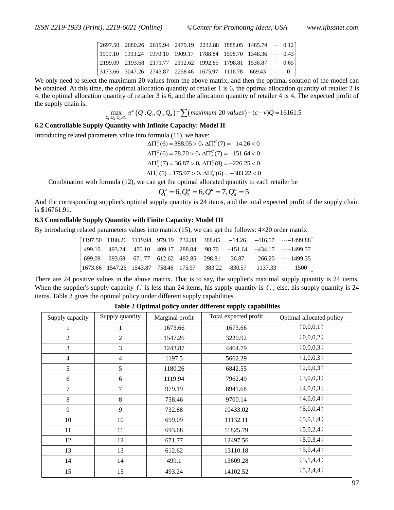| int), 2219-6021 (Online) |                                                                                                                        |  | ©Center for Promoting Ideas, USA |                                                               |  |  |  |  |  |  |
|--------------------------|------------------------------------------------------------------------------------------------------------------------|--|----------------------------------|---------------------------------------------------------------|--|--|--|--|--|--|
|                          |                                                                                                                        |  |                                  |                                                               |  |  |  |  |  |  |
|                          | $\begin{bmatrix} 2697.50 & 2680.26 & 2619.94 & 2479.19 & 2232.88 & 1888.05 & 1485.74 & \cdots & 0.12 \end{bmatrix}$    |  |                                  |                                                               |  |  |  |  |  |  |
|                          |                                                                                                                        |  |                                  | 1999.10 1993.24 1970.10 1909.17 1788.84 1598.70 1348.36  0.43 |  |  |  |  |  |  |
|                          | $\vert$ 2199.09 2193.68 2171.77 2112.62 1992.85 1798.81 1536.87 $\cdots$ 0.65                                          |  |                                  |                                                               |  |  |  |  |  |  |
|                          | $\begin{array}{ccccccccc} 3173.66 & 3047.26 & 2743.87 & 2258.46 & 1675.97 & 1116.78 & 669.43 & \cdots & 0 \end{array}$ |  |                                  |                                                               |  |  |  |  |  |  |
|                          | $\mu$ the correction of the line from the change correction and then the cost of collection of the                     |  |                                  |                                                               |  |  |  |  |  |  |

We only need to select the maximum 20 values from the above matrix, and then the optimal solution of the model can be obtained. At this time, the optimal allocation quantity of retailer 1 is 6, the optimal allocation quantity of retailer 2 is 4, the optimal allocation quantity of retailer 3 is 6, and the allocation quantity of retailer 4 is 4. The expected profit of the supply chain is:<br>  $\max_{Q_1, Q_2, Q_3, Q_4} \pi^c (Q_1, Q_2, Q_3, Q_4) = \sum (maximum 20 values) - (c - v)Q = 16161.5$ the supply chain is:

$$
\max_{Q_1, Q_2, Q_3, Q_4} \pi^c (Q_1, Q_2, Q_3, Q_4) = \sum (maximum 20 values) - (c - v)Q = 16161.5
$$

#### **6.2 Controllable Supply Quantity with Infinite Capacity: Model II**

Introducing related parameters value into formula (11), we have:

 $\Delta\Pi_{1}^{C}(6) = 388.05 > 0, \, \Delta\Pi_{1}^{C}(7) = -14.26 < 0$  $\Delta\Pi_2^C(6) = 78.70 > 0, \, \Delta\Pi_2^C(7) = -151.64 < 0$  $\Delta\Pi_s^C(7) = 36.87 > 0$ ,  $\Delta\Pi_s^C(8) = -226.25 < 0$  $\Delta\Pi_3^c$  (7) = 36.87 > 0,  $\Delta\Pi_3^c$  (8) = -226.25 < 0<br> $\Delta\Pi_4^c$  (5) = 175.97 > 0,  $\Delta\Pi_4^c$  (6) = -383.22 < 0

Combination with formula (12), we can get the optimal allocated quantity to each retailer be  $Q_1^a = 6$ ,  $Q_2^a = 6$ ,  $Q_1^a = 7$ ,  $Q_4^a = 5$ 

$$
Q_1^a = 6, Q_2^a = 6, Q_1^a = 7, Q_4^a = 5
$$

And the corresponding supplier's optimal supply quantity is 24 items, and the total expected profit of the supply chain is \$16761.91.

## **6.3 Controllable Supply Quantity with Finite Capacity: Model III**

By introducing related parameters values into matrix  $(15)$ , we can get the follows:  $4\times20$  order matrix:

| le Supply Quantity with Finite Capacity: Model III                                            |        |  |  |  |  |  |  |  |                                                                                                                             |
|-----------------------------------------------------------------------------------------------|--------|--|--|--|--|--|--|--|-----------------------------------------------------------------------------------------------------------------------------|
| related parameters values into matrix (15), we can get the follows: $4\times20$ order matrix: |        |  |  |  |  |  |  |  |                                                                                                                             |
|                                                                                               |        |  |  |  |  |  |  |  | $\begin{bmatrix} 1197.50 & 1180.26 & 1119.94 & 979.19 & 732.88 & 388.05 & -14.26 & -416.57 & \cdots -1499.88 \end{bmatrix}$ |
|                                                                                               | 499.10 |  |  |  |  |  |  |  | $493.24$ $470.10$ $409.17$ $288.84$ $98.70$ $-151.64$ $-434.17$ $\cdots$ $-1499.57$                                         |
|                                                                                               | 699.09 |  |  |  |  |  |  |  | 693.68 671.77 612.62 492.85 298.81 36.87 -266.25  -1499.35                                                                  |
|                                                                                               |        |  |  |  |  |  |  |  | $\mid$ 1673.66 1547.26 1543.87 758.46 175.97 -383.22 -830.57 -1137.33 $\cdots$ -1500                                        |
|                                                                                               |        |  |  |  |  |  |  |  |                                                                                                                             |

There are 24 positive values in the above matrix. That is to say, the supplier's maximal supply quantity is 24 items. When the supplier's supply capacity  $C$  is less than 24 items, his supply quantity is  $C$ ; else, his supply quantity is 24 items. Table 2 gives the optimal policy under different supply capabilities.

| Supply quantity<br>Supply capacity |                | Marginal profit | Total expected profit | Optimal allocated policy |
|------------------------------------|----------------|-----------------|-----------------------|--------------------------|
| 1                                  |                | 1673.66         | 1673.66               | (0,0,0,1)                |
| $\overline{2}$                     | $\overline{2}$ | 1547.26         | 3220.92               | (0,0,0,2)                |
| 3                                  | 3              | 1243.87         | 4464.79               | (0,0,0,3)                |
| $\overline{4}$                     | $\overline{4}$ | 1197.5          | 5662.29               | (1,0,0,3)                |
| 5                                  | 5              | 1180.26         | 6842.55               | (2,0,0,3)                |
| 6                                  | 6              | 1119.94         | 7962.49               | (3,0,0,3)                |
| $\overline{7}$                     | 7              | 979.19          | 8941.68               | (4,0,0,3)                |
| 8                                  | 8              | 758.46          | 9700.14               | (4,0,0,4)                |
| 9                                  | 9              | 732.88          | 10433.02              | (5,0,0,4)                |
| 10                                 | 10             | 699.09          | 11132.11              | (5,0,1,4)                |
| 11                                 | 11             | 693.68          | 11825.79              | (5,0,2,4)                |
| 12                                 | 12             | 671.77          | 12497.56              | (5,0,3,4)                |
| 13                                 | 13             | 612.62          | 13110.18              | (5,0,4,4)                |
| 14                                 | 14             | 499.1           | 13609.28              | (5,1,4,4)                |
| 15                                 | 15             | 493.24          | 14102.52              | (5,2,4,4)                |

**Table 2 Optimal policy under different supply capabilities**